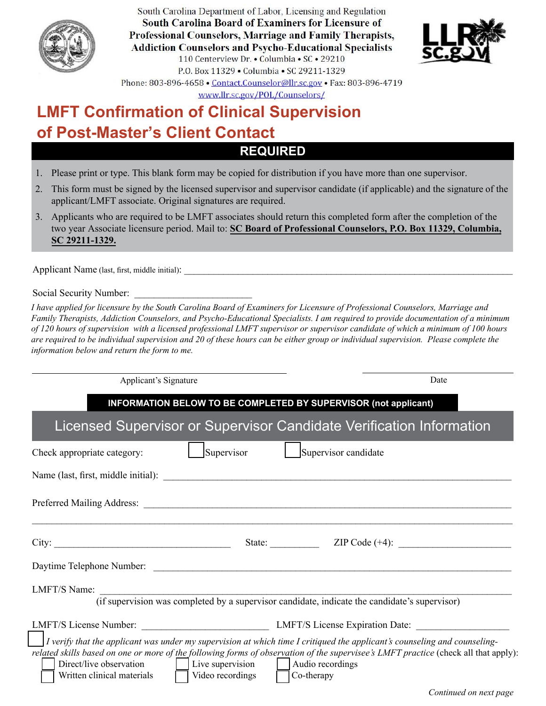

South Carolina Department of Labor, Licensing and Regulation **South Carolina Board of Examiners for Licensure of** Professional Counselors, Marriage and Family Therapists, **Addiction Counselors and Psycho-Educational Specialists** 110 Centerview Dr. • Columbia • SC • 29210 P.O. Box 11329 . Columbia . SC 29211-1329 Phone: 803-896-4658 • Contact.Counselor@llr.sc.gov • Fax: 803-896-4719



www.llr.sc.gov/POL/Counselors/

# **REQUIRED LMFT Confirmation of Clinical Supervision of Post-Master's Client Contact**

- 1. Please print or type. This blank form may be copied for distribution if you have more than one supervisor.
- 2. This form must be signed by the licensed supervisor and supervisor candidate (if applicable) and the signature of the applicant/LMFT associate. Original signatures are required.
- 3. Applicants who are required to be LMFT associates should return this completed form after the completion of the two year Associate licensure period. Mail to: **SC Board of Professional Counselors, P.O. Box 11329, Columbia, SC 29211-1329.**

Applicant Name (last, first, middle initial):

Social Security Number:

*I have applied for licensure by the South Carolina Board of Examiners for Licensure of Professional Counselors, Marriage and Family Therapists, Addiction Counselors, and Psycho-Educational Specialists. I am required to provide documentation of a minimum of 120 hours of supervision with a licensed professional LMFT supervisor or supervisor candidate of which a minimum of 100 hours are required to be individual supervision and 20 of these hours can be either group or individual supervision. Please complete the information below and return the form to me.* 

| Applicant's Signature                                                                                                                                                                                                                                                                                                                                                                                     | Date                  |
|-----------------------------------------------------------------------------------------------------------------------------------------------------------------------------------------------------------------------------------------------------------------------------------------------------------------------------------------------------------------------------------------------------------|-----------------------|
| INFORMATION BELOW TO BE COMPLETED BY SUPERVISOR (not applicant)                                                                                                                                                                                                                                                                                                                                           |                       |
| Licensed Supervisor or Supervisor Candidate Verification Information                                                                                                                                                                                                                                                                                                                                      |                       |
| Supervisor<br>Supervisor candidate<br>Check appropriate category:<br><b>Contract Contract State</b>                                                                                                                                                                                                                                                                                                       |                       |
|                                                                                                                                                                                                                                                                                                                                                                                                           |                       |
|                                                                                                                                                                                                                                                                                                                                                                                                           |                       |
| City:                                                                                                                                                                                                                                                                                                                                                                                                     | State: ZIP Code (+4): |
| Daytime Telephone Number:                                                                                                                                                                                                                                                                                                                                                                                 |                       |
| LMFT/S Name: (if supervision was completed by a supervisor candidate, indicate the candidate's supervisor)                                                                                                                                                                                                                                                                                                |                       |
|                                                                                                                                                                                                                                                                                                                                                                                                           |                       |
| I verify that the applicant was under my supervision at which time I critiqued the applicant's counseling and counseling-<br>related skills based on one or more of the following forms of observation of the supervisee's LMFT practice (check all that apply):<br>Direct/live observation   Live supervision   Audio recordings<br>Written clinical materials $\Box$ Video recordings $\Box$ Co-therapy |                       |